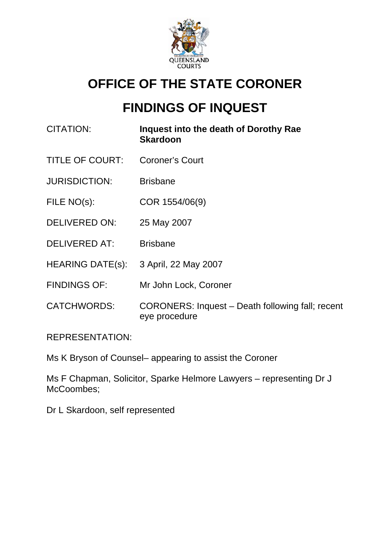

# **OFFICE OF THE STATE CORONER**

# **FINDINGS OF INQUEST**

- CITATION: **Inquest into the death of Dorothy Rae Skardoon**
- TITLE OF COURT: Coroner's Court
- JURISDICTION: Brisbane
- FILE NO(s): COR 1554/06(9)
- DELIVERED ON: 25 May 2007
- DELIVERED AT: Brisbane
- HEARING DATE(s): 3 April, 22 May 2007
- FINDINGS OF: Mr John Lock, Coroner
- CATCHWORDS: CORONERS: Inquest Death following fall; recent eye procedure

REPRESENTATION:

Ms K Bryson of Counsel– appearing to assist the Coroner

Ms F Chapman, Solicitor, Sparke Helmore Lawyers – representing Dr J McCoombes;

Dr L Skardoon, self represented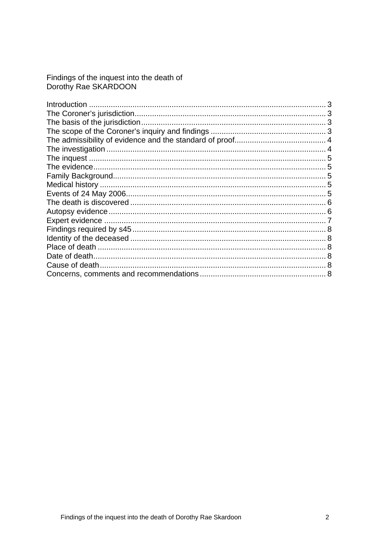Findings of the inquest into the death of<br>Dorothy Rae SKARDOON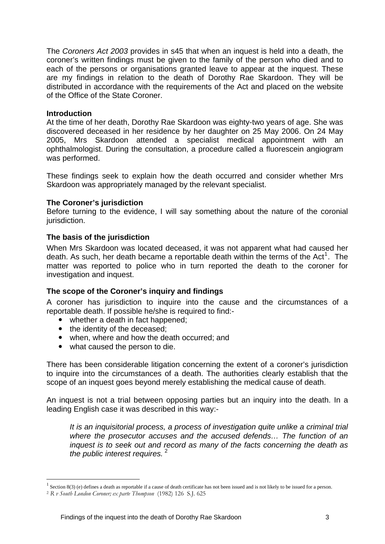<span id="page-2-0"></span>The *Coroners Act 2003* provides in s45 that when an inquest is held into a death, the coroner's written findings must be given to the family of the person who died and to each of the persons or organisations granted leave to appear at the inquest. These are my findings in relation to the death of Dorothy Rae Skardoon. They will be distributed in accordance with the requirements of the Act and placed on the website of the Office of the State Coroner.

## **Introduction**

At the time of her death, Dorothy Rae Skardoon was eighty-two years of age. She was discovered deceased in her residence by her daughter on 25 May 2006. On 24 May 2005, Mrs Skardoon attended a specialist medical appointment with an ophthalmologist. During the consultation, a procedure called a fluorescein angiogram was performed.

These findings seek to explain how the death occurred and consider whether Mrs Skardoon was appropriately managed by the relevant specialist.

## **The Coroner's jurisdiction**

Before turning to the evidence, I will say something about the nature of the coronial jurisdiction.

## **The basis of the jurisdiction**

When Mrs Skardoon was located deceased, it was not apparent what had caused her death. As such, her death became a reportable death within the terms of the Act<sup>[1](#page-2-1)</sup>. The matter was reported to police who in turn reported the death to the coroner for investigation and inquest.

# **The scope of the Coroner's inquiry and findings**

A coroner has jurisdiction to inquire into the cause and the circumstances of a reportable death. If possible he/she is required to find:-

- whether a death in fact happened;
- the identity of the deceased;
- when, where and how the death occurred; and
- what caused the person to die.

There has been considerable litigation concerning the extent of a coroner's jurisdiction to inquire into the circumstances of a death. The authorities clearly establish that the scope of an inquest goes beyond merely establishing the medical cause of death.

An inquest is not a trial between opposing parties but an inquiry into the death. In a leading English case it was described in this way:-

*It is an inquisitorial process, a process of investigation quite unlike a criminal trial where the prosecutor accuses and the accused defends… The function of an inquest is to seek out and record as many of the facts concerning the death as the public interest requires.*<sup>[2](#page-2-2)</sup>

1

<sup>&</sup>lt;sup>1</sup> Section 8(3) (e) defines a death as reportable if a cause of death certificate has not been issued and is not likely to be issued for a person.

<span id="page-2-2"></span><span id="page-2-1"></span><sup>2</sup> *R v South London Coroner; ex parte Thompson* (1982) 126 S.J. 625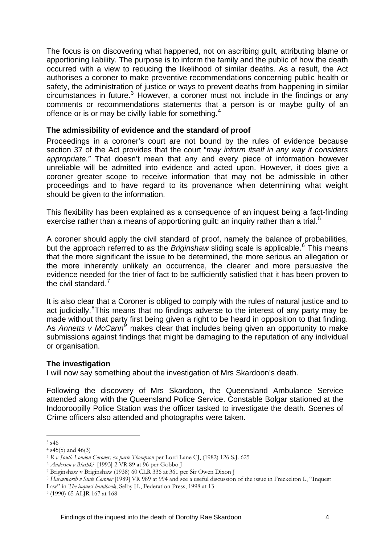<span id="page-3-0"></span>The focus is on discovering what happened, not on ascribing guilt, attributing blame or apportioning liability. The purpose is to inform the family and the public of how the death occurred with a view to reducing the likelihood of similar deaths. As a result, the Act authorises a coroner to make preventive recommendations concerning public health or safety, the administration of justice or ways to prevent deaths from happening in similar circumstances in future.<sup>[3](#page-3-1)</sup> However, a coroner must not include in the findings or any comments or recommendations statements that a person is or maybe guilty of an offence or is or may be civilly liable for something.<sup>[4](#page-3-2)</sup>

## **The admissibility of evidence and the standard of proof**

Proceedings in a coroner's court are not bound by the rules of evidence because section 37 of the Act provides that the court "*may inform itself in any way it considers appropriate."* That doesn't mean that any and every piece of information however unreliable will be admitted into evidence and acted upon. However, it does give a coroner greater scope to receive information that may not be admissible in other proceedings and to have regard to its provenance when determining what weight should be given to the information.

This flexibility has been explained as a consequence of an inquest being a fact-finding exercise rather than a means of apportioning guilt: an inquiry rather than a trial.<sup>[5](#page-3-3)</sup>

A coroner should apply the civil standard of proof, namely the balance of probabilities, but the approach referred to as the *Briginshaw* sliding scale is applicable.<sup>[6](#page-3-4)</sup> This means that the more significant the issue to be determined, the more serious an allegation or the more inherently unlikely an occurrence, the clearer and more persuasive the evidence needed for the trier of fact to be sufficiently satisfied that it has been proven to the civil standard.<sup>[7](#page-3-5)</sup>

It is also clear that a Coroner is obliged to comply with the rules of natural justice and to act judicially.<sup>[8](#page-3-6)</sup> This means that no findings adverse to the interest of any party may be made without that party first being given a right to be heard in opposition to that finding. As Annetts v McCann<sup>[9](#page-3-7)</sup> makes clear that includes being given an opportunity to make submissions against findings that might be damaging to the reputation of any individual or organisation.

## **The investigation**

I will now say something about the investigation of Mrs Skardoon's death.

Following the discovery of Mrs Skardoon, the Queensland Ambulance Service attended along with the Queensland Police Service. Constable Bolgar stationed at the Indooroopilly Police Station was the officer tasked to investigate the death. Scenes of Crime officers also attended and photographs were taken.

<sup>1</sup>  $3 \times 46$ 

<span id="page-3-2"></span><span id="page-3-1"></span> $4$  s45(5) and 46(3)<br>  $5$  R v South London Coroner; ex parte Thompson per Lord Lane CJ, (1982) 126 S.J. 625

<span id="page-3-4"></span>

<span id="page-3-3"></span><sup>&</sup>lt;sup>6</sup> *Anderson v Blashki* [1993] 2 VR 89 at 96 per Gobbo J<br><sup>7</sup> Briginshaw v Briginshaw (1938) 60 CLR 336 at 361 per Sir Owen Dixon J

<span id="page-3-6"></span><span id="page-3-5"></span><sup>8</sup> *Harmsworth v State Coroner* [1989] VR 989 at 994 and see a useful discussion of the issue in Freckelton I., "Inquest

Law" in *The inquest handbook*, Selby H., Federation Press, 1998 at 13<sup>9</sup> (1990) 65 ALJR 167 at 168

<span id="page-3-7"></span>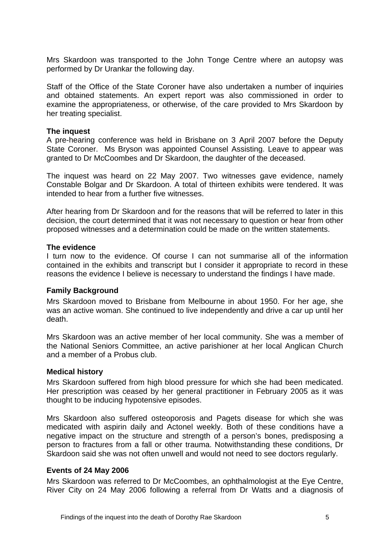<span id="page-4-0"></span>Mrs Skardoon was transported to the John Tonge Centre where an autopsy was performed by Dr Urankar the following day.

Staff of the Office of the State Coroner have also undertaken a number of inquiries and obtained statements. An expert report was also commissioned in order to examine the appropriateness, or otherwise, of the care provided to Mrs Skardoon by her treating specialist.

## **The inquest**

A pre-hearing conference was held in Brisbane on 3 April 2007 before the Deputy State Coroner. Ms Bryson was appointed Counsel Assisting. Leave to appear was granted to Dr McCoombes and Dr Skardoon, the daughter of the deceased.

The inquest was heard on 22 May 2007. Two witnesses gave evidence, namely Constable Bolgar and Dr Skardoon. A total of thirteen exhibits were tendered. It was intended to hear from a further five witnesses.

After hearing from Dr Skardoon and for the reasons that will be referred to later in this decision, the court determined that it was not necessary to question or hear from other proposed witnesses and a determination could be made on the written statements.

## **The evidence**

I turn now to the evidence. Of course I can not summarise all of the information contained in the exhibits and transcript but I consider it appropriate to record in these reasons the evidence I believe is necessary to understand the findings I have made.

# **Family Background**

Mrs Skardoon moved to Brisbane from Melbourne in about 1950. For her age, she was an active woman. She continued to live independently and drive a car up until her death.

Mrs Skardoon was an active member of her local community. She was a member of the National Seniors Committee, an active parishioner at her local Anglican Church and a member of a Probus club.

## **Medical history**

Mrs Skardoon suffered from high blood pressure for which she had been medicated. Her prescription was ceased by her general practitioner in February 2005 as it was thought to be inducing hypotensive episodes.

Mrs Skardoon also suffered osteoporosis and Pagets disease for which she was medicated with aspirin daily and Actonel weekly. Both of these conditions have a negative impact on the structure and strength of a person's bones, predisposing a person to fractures from a fall or other trauma. Notwithstanding these conditions, Dr Skardoon said she was not often unwell and would not need to see doctors regularly.

# **Events of 24 May 2006**

Mrs Skardoon was referred to Dr McCoombes, an ophthalmologist at the Eye Centre, River City on 24 May 2006 following a referral from Dr Watts and a diagnosis of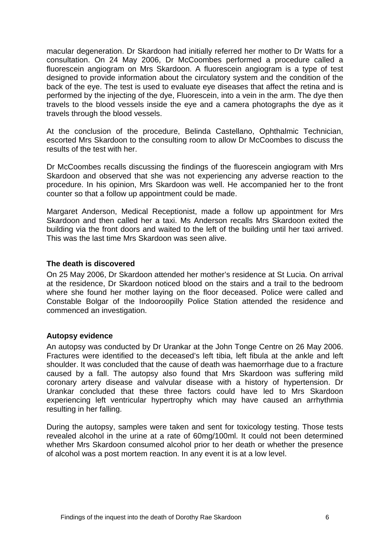<span id="page-5-0"></span>macular degeneration. Dr Skardoon had initially referred her mother to Dr Watts for a consultation. On 24 May 2006, Dr McCoombes performed a procedure called a fluorescein angiogram on Mrs Skardoon. A fluorescein angiogram is a type of test designed to provide information about the circulatory system and the condition of the back of the eye. The test is used to evaluate eye diseases that affect the retina and is performed by the injecting of the dye, Fluorescein, into a vein in the arm. The dye then travels to the blood vessels inside the eye and a camera photographs the dye as it travels through the blood vessels.

At the conclusion of the procedure, Belinda Castellano, Ophthalmic Technician, escorted Mrs Skardoon to the consulting room to allow Dr McCoombes to discuss the results of the test with her.

Dr McCoombes recalls discussing the findings of the fluorescein angiogram with Mrs Skardoon and observed that she was not experiencing any adverse reaction to the procedure. In his opinion, Mrs Skardoon was well. He accompanied her to the front counter so that a follow up appointment could be made.

Margaret Anderson, Medical Receptionist, made a follow up appointment for Mrs Skardoon and then called her a taxi. Ms Anderson recalls Mrs Skardoon exited the building via the front doors and waited to the left of the building until her taxi arrived. This was the last time Mrs Skardoon was seen alive.

## **The death is discovered**

On 25 May 2006, Dr Skardoon attended her mother's residence at St Lucia. On arrival at the residence, Dr Skardoon noticed blood on the stairs and a trail to the bedroom where she found her mother laying on the floor deceased. Police were called and Constable Bolgar of the Indooroopilly Police Station attended the residence and commenced an investigation.

## **Autopsy evidence**

An autopsy was conducted by Dr Urankar at the John Tonge Centre on 26 May 2006. Fractures were identified to the deceased's left tibia, left fibula at the ankle and left shoulder. It was concluded that the cause of death was haemorrhage due to a fracture caused by a fall. The autopsy also found that Mrs Skardoon was suffering mild coronary artery disease and valvular disease with a history of hypertension. Dr Urankar concluded that these three factors could have led to Mrs Skardoon experiencing left ventricular hypertrophy which may have caused an arrhythmia resulting in her falling.

During the autopsy, samples were taken and sent for toxicology testing. Those tests revealed alcohol in the urine at a rate of 60mg/100ml. It could not been determined whether Mrs Skardoon consumed alcohol prior to her death or whether the presence of alcohol was a post mortem reaction. In any event it is at a low level.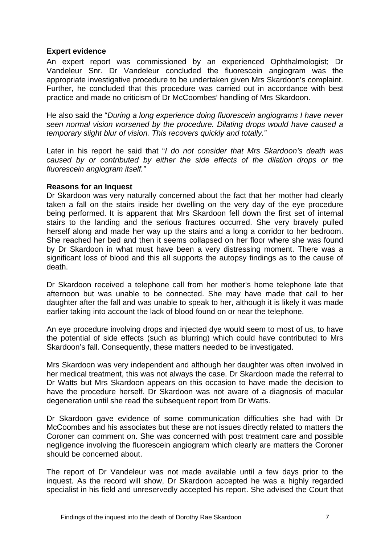# <span id="page-6-0"></span>**Expert evidence**

An expert report was commissioned by an experienced Ophthalmologist; Dr Vandeleur Snr. Dr Vandeleur concluded the fluorescein angiogram was the appropriate investigative procedure to be undertaken given Mrs Skardoon's complaint. Further, he concluded that this procedure was carried out in accordance with best practice and made no criticism of Dr McCoombes' handling of Mrs Skardoon.

He also said the "*During a long experience doing fluorescein angiograms I have never seen normal vision worsened by the procedure. Dilating drops would have caused a temporary slight blur of vision. This recovers quickly and totally."* 

Later in his report he said that "*I do not consider that Mrs Skardoon's death was caused by or contributed by either the side effects of the dilation drops or the fluorescein angiogram itself."* 

## **Reasons for an Inquest**

Dr Skardoon was very naturally concerned about the fact that her mother had clearly taken a fall on the stairs inside her dwelling on the very day of the eye procedure being performed. It is apparent that Mrs Skardoon fell down the first set of internal stairs to the landing and the serious fractures occurred. She very bravely pulled herself along and made her way up the stairs and a long a corridor to her bedroom. She reached her bed and then it seems collapsed on her floor where she was found by Dr Skardoon in what must have been a very distressing moment. There was a significant loss of blood and this all supports the autopsy findings as to the cause of death.

Dr Skardoon received a telephone call from her mother's home telephone late that afternoon but was unable to be connected. She may have made that call to her daughter after the fall and was unable to speak to her, although it is likely it was made earlier taking into account the lack of blood found on or near the telephone.

An eye procedure involving drops and injected dye would seem to most of us, to have the potential of side effects (such as blurring) which could have contributed to Mrs Skardoon's fall. Consequently, these matters needed to be investigated.

Mrs Skardoon was very independent and although her daughter was often involved in her medical treatment, this was not always the case. Dr Skardoon made the referral to Dr Watts but Mrs Skardoon appears on this occasion to have made the decision to have the procedure herself. Dr Skardoon was not aware of a diagnosis of macular degeneration until she read the subsequent report from Dr Watts.

Dr Skardoon gave evidence of some communication difficulties she had with Dr McCoombes and his associates but these are not issues directly related to matters the Coroner can comment on. She was concerned with post treatment care and possible negligence involving the fluorescein angiogram which clearly are matters the Coroner should be concerned about.

The report of Dr Vandeleur was not made available until a few days prior to the inquest. As the record will show, Dr Skardoon accepted he was a highly regarded specialist in his field and unreservedly accepted his report. She advised the Court that